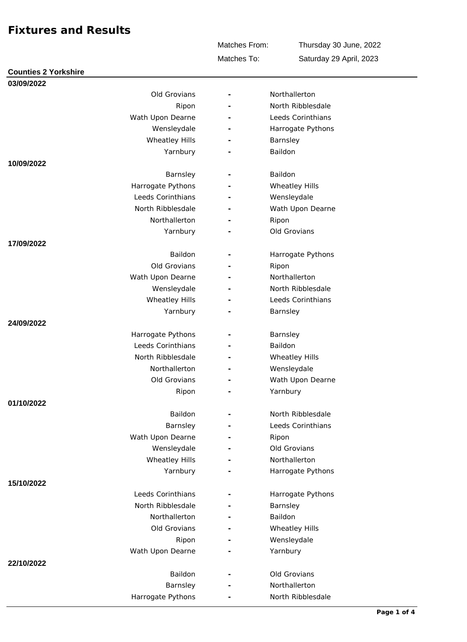Matches To: Matches From:

Thursday 30 June, 2022 Saturday 29 April, 2023

| 03/09/2022<br>Old Grovians<br>Northallerton<br>$\overline{\phantom{a}}$<br>North Ribblesdale<br>Ripon<br>Wath Upon Dearne<br>Leeds Corinthians<br>Wensleydale<br>Harrogate Pythons<br>L.<br><b>Wheatley Hills</b><br>Barnsley<br>÷<br>Baildon<br>Yarnbury<br>10/09/2022<br>Baildon<br>Barnsley<br>Wheatley Hills<br>Harrogate Pythons<br>Leeds Corinthians<br>Wensleydale<br>North Ribblesdale<br>Wath Upon Dearne<br>Northallerton<br>Ripon<br>Old Grovians<br>Yarnbury<br>17/09/2022<br>Baildon<br>Harrogate Pythons<br>$\overline{\phantom{a}}$<br>Old Grovians<br>Ripon<br>Northallerton<br>Wath Upon Dearne<br>North Ribblesdale<br>Wensleydale<br>Wheatley Hills<br>Leeds Corinthians<br>Yarnbury<br>Barnsley<br>24/09/2022<br>Harrogate Pythons<br>Barnsley<br>$\overline{\phantom{a}}$<br>Leeds Corinthians<br><b>Baildon</b><br>÷<br>North Ribblesdale<br>Wheatley Hills<br>$\overline{\phantom{a}}$<br>Northallerton<br>Wensleydale<br>$\overline{\phantom{a}}$<br>Wath Upon Dearne<br>Old Grovians<br>$\equiv$<br>Yarnbury<br>Ripon<br>01/10/2022<br>Baildon<br>North Ribblesdale<br>$\overline{\phantom{a}}$<br>Barnsley<br>Leeds Corinthians<br>Wath Upon Dearne<br>Ripon<br>$\overline{\phantom{a}}$<br>Old Grovians<br>Wensleydale<br>Wheatley Hills<br>Northallerton<br>Yarnbury<br>Harrogate Pythons<br>15/10/2022<br>Leeds Corinthians<br>Harrogate Pythons<br>North Ribblesdale<br>Barnsley<br>Baildon<br>Northallerton<br>Old Grovians<br>Wheatley Hills<br>$\overline{\phantom{a}}$<br>Wensleydale<br>Ripon<br>Yarnbury<br>Wath Upon Dearne<br>22/10/2022<br>Baildon<br>Old Grovians<br>$\overline{\phantom{a}}$<br>Northallerton<br>Barnsley | <b>Counties 2 Yorkshire</b> |                   |  |
|--------------------------------------------------------------------------------------------------------------------------------------------------------------------------------------------------------------------------------------------------------------------------------------------------------------------------------------------------------------------------------------------------------------------------------------------------------------------------------------------------------------------------------------------------------------------------------------------------------------------------------------------------------------------------------------------------------------------------------------------------------------------------------------------------------------------------------------------------------------------------------------------------------------------------------------------------------------------------------------------------------------------------------------------------------------------------------------------------------------------------------------------------------------------------------------------------------------------------------------------------------------------------------------------------------------------------------------------------------------------------------------------------------------------------------------------------------------------------------------------------------------------------------------------------------------------------------------------------------------------------------------------------------------------|-----------------------------|-------------------|--|
|                                                                                                                                                                                                                                                                                                                                                                                                                                                                                                                                                                                                                                                                                                                                                                                                                                                                                                                                                                                                                                                                                                                                                                                                                                                                                                                                                                                                                                                                                                                                                                                                                                                                    |                             |                   |  |
|                                                                                                                                                                                                                                                                                                                                                                                                                                                                                                                                                                                                                                                                                                                                                                                                                                                                                                                                                                                                                                                                                                                                                                                                                                                                                                                                                                                                                                                                                                                                                                                                                                                                    |                             |                   |  |
|                                                                                                                                                                                                                                                                                                                                                                                                                                                                                                                                                                                                                                                                                                                                                                                                                                                                                                                                                                                                                                                                                                                                                                                                                                                                                                                                                                                                                                                                                                                                                                                                                                                                    |                             |                   |  |
|                                                                                                                                                                                                                                                                                                                                                                                                                                                                                                                                                                                                                                                                                                                                                                                                                                                                                                                                                                                                                                                                                                                                                                                                                                                                                                                                                                                                                                                                                                                                                                                                                                                                    |                             |                   |  |
|                                                                                                                                                                                                                                                                                                                                                                                                                                                                                                                                                                                                                                                                                                                                                                                                                                                                                                                                                                                                                                                                                                                                                                                                                                                                                                                                                                                                                                                                                                                                                                                                                                                                    |                             |                   |  |
|                                                                                                                                                                                                                                                                                                                                                                                                                                                                                                                                                                                                                                                                                                                                                                                                                                                                                                                                                                                                                                                                                                                                                                                                                                                                                                                                                                                                                                                                                                                                                                                                                                                                    |                             |                   |  |
|                                                                                                                                                                                                                                                                                                                                                                                                                                                                                                                                                                                                                                                                                                                                                                                                                                                                                                                                                                                                                                                                                                                                                                                                                                                                                                                                                                                                                                                                                                                                                                                                                                                                    |                             |                   |  |
|                                                                                                                                                                                                                                                                                                                                                                                                                                                                                                                                                                                                                                                                                                                                                                                                                                                                                                                                                                                                                                                                                                                                                                                                                                                                                                                                                                                                                                                                                                                                                                                                                                                                    |                             |                   |  |
|                                                                                                                                                                                                                                                                                                                                                                                                                                                                                                                                                                                                                                                                                                                                                                                                                                                                                                                                                                                                                                                                                                                                                                                                                                                                                                                                                                                                                                                                                                                                                                                                                                                                    |                             |                   |  |
|                                                                                                                                                                                                                                                                                                                                                                                                                                                                                                                                                                                                                                                                                                                                                                                                                                                                                                                                                                                                                                                                                                                                                                                                                                                                                                                                                                                                                                                                                                                                                                                                                                                                    |                             |                   |  |
|                                                                                                                                                                                                                                                                                                                                                                                                                                                                                                                                                                                                                                                                                                                                                                                                                                                                                                                                                                                                                                                                                                                                                                                                                                                                                                                                                                                                                                                                                                                                                                                                                                                                    |                             |                   |  |
|                                                                                                                                                                                                                                                                                                                                                                                                                                                                                                                                                                                                                                                                                                                                                                                                                                                                                                                                                                                                                                                                                                                                                                                                                                                                                                                                                                                                                                                                                                                                                                                                                                                                    |                             |                   |  |
|                                                                                                                                                                                                                                                                                                                                                                                                                                                                                                                                                                                                                                                                                                                                                                                                                                                                                                                                                                                                                                                                                                                                                                                                                                                                                                                                                                                                                                                                                                                                                                                                                                                                    |                             |                   |  |
|                                                                                                                                                                                                                                                                                                                                                                                                                                                                                                                                                                                                                                                                                                                                                                                                                                                                                                                                                                                                                                                                                                                                                                                                                                                                                                                                                                                                                                                                                                                                                                                                                                                                    |                             |                   |  |
|                                                                                                                                                                                                                                                                                                                                                                                                                                                                                                                                                                                                                                                                                                                                                                                                                                                                                                                                                                                                                                                                                                                                                                                                                                                                                                                                                                                                                                                                                                                                                                                                                                                                    |                             |                   |  |
|                                                                                                                                                                                                                                                                                                                                                                                                                                                                                                                                                                                                                                                                                                                                                                                                                                                                                                                                                                                                                                                                                                                                                                                                                                                                                                                                                                                                                                                                                                                                                                                                                                                                    |                             |                   |  |
|                                                                                                                                                                                                                                                                                                                                                                                                                                                                                                                                                                                                                                                                                                                                                                                                                                                                                                                                                                                                                                                                                                                                                                                                                                                                                                                                                                                                                                                                                                                                                                                                                                                                    |                             |                   |  |
|                                                                                                                                                                                                                                                                                                                                                                                                                                                                                                                                                                                                                                                                                                                                                                                                                                                                                                                                                                                                                                                                                                                                                                                                                                                                                                                                                                                                                                                                                                                                                                                                                                                                    |                             |                   |  |
|                                                                                                                                                                                                                                                                                                                                                                                                                                                                                                                                                                                                                                                                                                                                                                                                                                                                                                                                                                                                                                                                                                                                                                                                                                                                                                                                                                                                                                                                                                                                                                                                                                                                    |                             |                   |  |
|                                                                                                                                                                                                                                                                                                                                                                                                                                                                                                                                                                                                                                                                                                                                                                                                                                                                                                                                                                                                                                                                                                                                                                                                                                                                                                                                                                                                                                                                                                                                                                                                                                                                    |                             |                   |  |
|                                                                                                                                                                                                                                                                                                                                                                                                                                                                                                                                                                                                                                                                                                                                                                                                                                                                                                                                                                                                                                                                                                                                                                                                                                                                                                                                                                                                                                                                                                                                                                                                                                                                    |                             |                   |  |
|                                                                                                                                                                                                                                                                                                                                                                                                                                                                                                                                                                                                                                                                                                                                                                                                                                                                                                                                                                                                                                                                                                                                                                                                                                                                                                                                                                                                                                                                                                                                                                                                                                                                    |                             |                   |  |
|                                                                                                                                                                                                                                                                                                                                                                                                                                                                                                                                                                                                                                                                                                                                                                                                                                                                                                                                                                                                                                                                                                                                                                                                                                                                                                                                                                                                                                                                                                                                                                                                                                                                    |                             |                   |  |
|                                                                                                                                                                                                                                                                                                                                                                                                                                                                                                                                                                                                                                                                                                                                                                                                                                                                                                                                                                                                                                                                                                                                                                                                                                                                                                                                                                                                                                                                                                                                                                                                                                                                    |                             |                   |  |
|                                                                                                                                                                                                                                                                                                                                                                                                                                                                                                                                                                                                                                                                                                                                                                                                                                                                                                                                                                                                                                                                                                                                                                                                                                                                                                                                                                                                                                                                                                                                                                                                                                                                    |                             |                   |  |
|                                                                                                                                                                                                                                                                                                                                                                                                                                                                                                                                                                                                                                                                                                                                                                                                                                                                                                                                                                                                                                                                                                                                                                                                                                                                                                                                                                                                                                                                                                                                                                                                                                                                    |                             |                   |  |
|                                                                                                                                                                                                                                                                                                                                                                                                                                                                                                                                                                                                                                                                                                                                                                                                                                                                                                                                                                                                                                                                                                                                                                                                                                                                                                                                                                                                                                                                                                                                                                                                                                                                    |                             |                   |  |
|                                                                                                                                                                                                                                                                                                                                                                                                                                                                                                                                                                                                                                                                                                                                                                                                                                                                                                                                                                                                                                                                                                                                                                                                                                                                                                                                                                                                                                                                                                                                                                                                                                                                    |                             |                   |  |
|                                                                                                                                                                                                                                                                                                                                                                                                                                                                                                                                                                                                                                                                                                                                                                                                                                                                                                                                                                                                                                                                                                                                                                                                                                                                                                                                                                                                                                                                                                                                                                                                                                                                    |                             |                   |  |
|                                                                                                                                                                                                                                                                                                                                                                                                                                                                                                                                                                                                                                                                                                                                                                                                                                                                                                                                                                                                                                                                                                                                                                                                                                                                                                                                                                                                                                                                                                                                                                                                                                                                    |                             |                   |  |
|                                                                                                                                                                                                                                                                                                                                                                                                                                                                                                                                                                                                                                                                                                                                                                                                                                                                                                                                                                                                                                                                                                                                                                                                                                                                                                                                                                                                                                                                                                                                                                                                                                                                    |                             |                   |  |
|                                                                                                                                                                                                                                                                                                                                                                                                                                                                                                                                                                                                                                                                                                                                                                                                                                                                                                                                                                                                                                                                                                                                                                                                                                                                                                                                                                                                                                                                                                                                                                                                                                                                    |                             |                   |  |
|                                                                                                                                                                                                                                                                                                                                                                                                                                                                                                                                                                                                                                                                                                                                                                                                                                                                                                                                                                                                                                                                                                                                                                                                                                                                                                                                                                                                                                                                                                                                                                                                                                                                    |                             |                   |  |
|                                                                                                                                                                                                                                                                                                                                                                                                                                                                                                                                                                                                                                                                                                                                                                                                                                                                                                                                                                                                                                                                                                                                                                                                                                                                                                                                                                                                                                                                                                                                                                                                                                                                    |                             |                   |  |
|                                                                                                                                                                                                                                                                                                                                                                                                                                                                                                                                                                                                                                                                                                                                                                                                                                                                                                                                                                                                                                                                                                                                                                                                                                                                                                                                                                                                                                                                                                                                                                                                                                                                    |                             |                   |  |
|                                                                                                                                                                                                                                                                                                                                                                                                                                                                                                                                                                                                                                                                                                                                                                                                                                                                                                                                                                                                                                                                                                                                                                                                                                                                                                                                                                                                                                                                                                                                                                                                                                                                    |                             |                   |  |
|                                                                                                                                                                                                                                                                                                                                                                                                                                                                                                                                                                                                                                                                                                                                                                                                                                                                                                                                                                                                                                                                                                                                                                                                                                                                                                                                                                                                                                                                                                                                                                                                                                                                    |                             |                   |  |
|                                                                                                                                                                                                                                                                                                                                                                                                                                                                                                                                                                                                                                                                                                                                                                                                                                                                                                                                                                                                                                                                                                                                                                                                                                                                                                                                                                                                                                                                                                                                                                                                                                                                    |                             |                   |  |
|                                                                                                                                                                                                                                                                                                                                                                                                                                                                                                                                                                                                                                                                                                                                                                                                                                                                                                                                                                                                                                                                                                                                                                                                                                                                                                                                                                                                                                                                                                                                                                                                                                                                    |                             |                   |  |
|                                                                                                                                                                                                                                                                                                                                                                                                                                                                                                                                                                                                                                                                                                                                                                                                                                                                                                                                                                                                                                                                                                                                                                                                                                                                                                                                                                                                                                                                                                                                                                                                                                                                    |                             |                   |  |
|                                                                                                                                                                                                                                                                                                                                                                                                                                                                                                                                                                                                                                                                                                                                                                                                                                                                                                                                                                                                                                                                                                                                                                                                                                                                                                                                                                                                                                                                                                                                                                                                                                                                    |                             |                   |  |
|                                                                                                                                                                                                                                                                                                                                                                                                                                                                                                                                                                                                                                                                                                                                                                                                                                                                                                                                                                                                                                                                                                                                                                                                                                                                                                                                                                                                                                                                                                                                                                                                                                                                    |                             |                   |  |
|                                                                                                                                                                                                                                                                                                                                                                                                                                                                                                                                                                                                                                                                                                                                                                                                                                                                                                                                                                                                                                                                                                                                                                                                                                                                                                                                                                                                                                                                                                                                                                                                                                                                    |                             |                   |  |
|                                                                                                                                                                                                                                                                                                                                                                                                                                                                                                                                                                                                                                                                                                                                                                                                                                                                                                                                                                                                                                                                                                                                                                                                                                                                                                                                                                                                                                                                                                                                                                                                                                                                    |                             |                   |  |
|                                                                                                                                                                                                                                                                                                                                                                                                                                                                                                                                                                                                                                                                                                                                                                                                                                                                                                                                                                                                                                                                                                                                                                                                                                                                                                                                                                                                                                                                                                                                                                                                                                                                    |                             |                   |  |
|                                                                                                                                                                                                                                                                                                                                                                                                                                                                                                                                                                                                                                                                                                                                                                                                                                                                                                                                                                                                                                                                                                                                                                                                                                                                                                                                                                                                                                                                                                                                                                                                                                                                    | Harrogate Pythons           | North Ribblesdale |  |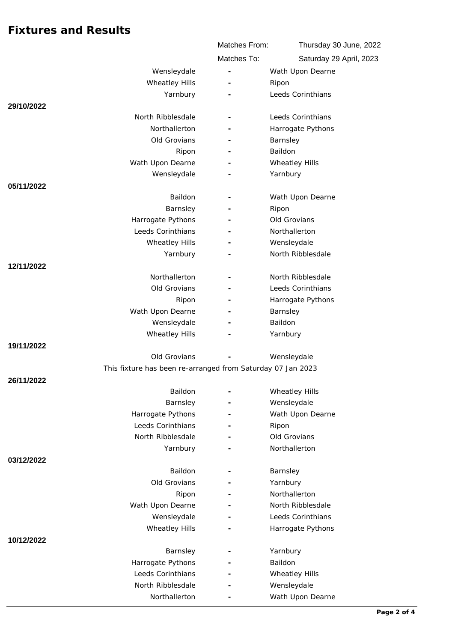|                                                             | Matches From:            | Thursday 30 June, 2022  |  |
|-------------------------------------------------------------|--------------------------|-------------------------|--|
|                                                             | Matches To:              | Saturday 29 April, 2023 |  |
| Wensleydale                                                 | ÷,                       | Wath Upon Dearne        |  |
| Wheatley Hills                                              |                          | Ripon                   |  |
| Yarnbury                                                    |                          | Leeds Corinthians       |  |
| 29/10/2022                                                  |                          |                         |  |
| North Ribblesdale                                           |                          | Leeds Corinthians       |  |
| Northallerton                                               |                          | Harrogate Pythons       |  |
| Old Grovians                                                |                          | Barnsley                |  |
| Ripon                                                       | ٠                        | Baildon                 |  |
| Wath Upon Dearne                                            |                          | Wheatley Hills          |  |
| Wensleydale                                                 |                          | Yarnbury                |  |
| 05/11/2022                                                  |                          |                         |  |
| Baildon                                                     | $\overline{\phantom{a}}$ | Wath Upon Dearne        |  |
| Barnsley                                                    |                          | Ripon                   |  |
| Harrogate Pythons                                           |                          | Old Grovians            |  |
| Leeds Corinthians                                           |                          | Northallerton           |  |
| Wheatley Hills                                              | $\overline{\phantom{m}}$ | Wensleydale             |  |
| Yarnbury                                                    |                          | North Ribblesdale       |  |
| 12/11/2022                                                  |                          |                         |  |
| Northallerton                                               |                          | North Ribblesdale       |  |
| Old Grovians                                                |                          | Leeds Corinthians       |  |
| Ripon                                                       |                          | Harrogate Pythons       |  |
| Wath Upon Dearne                                            |                          | Barnsley                |  |
| Wensleydale                                                 |                          | Baildon                 |  |
| Wheatley Hills                                              |                          | Yarnbury                |  |
| 19/11/2022                                                  |                          |                         |  |
| Old Grovians                                                |                          | Wensleydale             |  |
| This fixture has been re-arranged from Saturday 07 Jan 2023 |                          |                         |  |
| 26/11/2022                                                  |                          |                         |  |
| Baildon                                                     | $\overline{\phantom{0}}$ | <b>Wheatley Hills</b>   |  |
| Barnsley                                                    |                          | Wensleydale             |  |
| Harrogate Pythons<br>Leeds Corinthians                      |                          | Wath Upon Dearne        |  |
| North Ribblesdale                                           |                          | Ripon<br>Old Grovians   |  |
| Yarnbury                                                    |                          | Northallerton           |  |
| 03/12/2022                                                  |                          |                         |  |
| Baildon                                                     |                          | Barnsley                |  |
| Old Grovians                                                |                          | Yarnbury                |  |
| Ripon                                                       |                          | Northallerton           |  |
| Wath Upon Dearne                                            |                          | North Ribblesdale       |  |
| Wensleydale                                                 |                          | Leeds Corinthians       |  |
| Wheatley Hills                                              |                          | Harrogate Pythons       |  |
| 10/12/2022                                                  |                          |                         |  |
| Barnsley                                                    |                          | Yarnbury                |  |
| Harrogate Pythons                                           |                          | Baildon                 |  |
| Leeds Corinthians                                           |                          | Wheatley Hills          |  |
| North Ribblesdale                                           |                          | Wensleydale             |  |
| Northallerton                                               |                          | Wath Upon Dearne        |  |
|                                                             |                          |                         |  |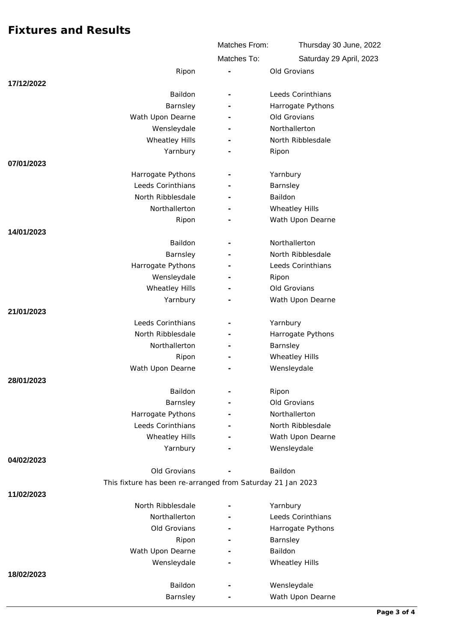|            |                                                                             | Matches From:            | Thursday 30 June, 2022  |
|------------|-----------------------------------------------------------------------------|--------------------------|-------------------------|
|            |                                                                             | Matches To:              | Saturday 29 April, 2023 |
|            | Ripon                                                                       |                          | Old Grovians            |
| 17/12/2022 |                                                                             |                          |                         |
|            | Baildon                                                                     | $\overline{\phantom{a}}$ | Leeds Corinthians       |
|            | Barnsley                                                                    |                          | Harrogate Pythons       |
|            | Wath Upon Dearne                                                            |                          | Old Grovians            |
|            | Wensleydale                                                                 |                          | Northallerton           |
|            | Wheatley Hills                                                              |                          | North Ribblesdale       |
|            | Yarnbury                                                                    |                          | Ripon                   |
| 07/01/2023 |                                                                             |                          |                         |
|            | Harrogate Pythons                                                           |                          | Yarnbury                |
|            | Leeds Corinthians                                                           |                          | Barnsley                |
|            | North Ribblesdale                                                           |                          | Baildon                 |
|            | Northallerton                                                               |                          | Wheatley Hills          |
|            | Ripon                                                                       |                          | Wath Upon Dearne        |
| 14/01/2023 |                                                                             |                          |                         |
|            | Baildon                                                                     |                          | Northallerton           |
|            | Barnsley                                                                    |                          | North Ribblesdale       |
|            | Harrogate Pythons                                                           |                          | Leeds Corinthians       |
|            | Wensleydale                                                                 |                          | Ripon                   |
|            | <b>Wheatley Hills</b>                                                       |                          | Old Grovians            |
|            | Yarnbury                                                                    |                          | Wath Upon Dearne        |
| 21/01/2023 |                                                                             |                          |                         |
|            | Leeds Corinthians                                                           | $\overline{\phantom{m}}$ | Yarnbury                |
|            | North Ribblesdale                                                           |                          | Harrogate Pythons       |
|            | Northallerton                                                               |                          | Barnsley                |
|            | Ripon                                                                       |                          | <b>Wheatley Hills</b>   |
|            | Wath Upon Dearne                                                            |                          | Wensleydale             |
| 28/01/2023 |                                                                             |                          |                         |
|            | Baildon                                                                     |                          | Ripon                   |
|            | Barnsley                                                                    |                          | Old Grovians            |
|            | Harrogate Pythons                                                           |                          | Northallerton           |
|            | Leeds Corinthians                                                           |                          | North Ribblesdale       |
|            | <b>Wheatley Hills</b>                                                       |                          | Wath Upon Dearne        |
|            | Yarnbury                                                                    |                          | Wensleydale             |
| 04/02/2023 |                                                                             |                          |                         |
|            | Old Grovians<br>This fixture has been re-arranged from Saturday 21 Jan 2023 |                          | Baildon                 |
| 11/02/2023 |                                                                             |                          |                         |
|            | North Ribblesdale                                                           |                          | Yarnbury                |
|            | Northallerton                                                               |                          | Leeds Corinthians       |
|            | Old Grovians                                                                |                          | Harrogate Pythons       |
|            | Ripon                                                                       | $\overline{\phantom{a}}$ | Barnsley                |
|            | Wath Upon Dearne                                                            |                          | Baildon                 |
|            | Wensleydale                                                                 |                          | Wheatley Hills          |
| 18/02/2023 |                                                                             |                          |                         |
|            | Baildon                                                                     |                          | Wensleydale             |
|            | Barnsley                                                                    |                          | Wath Upon Dearne        |
|            |                                                                             |                          |                         |